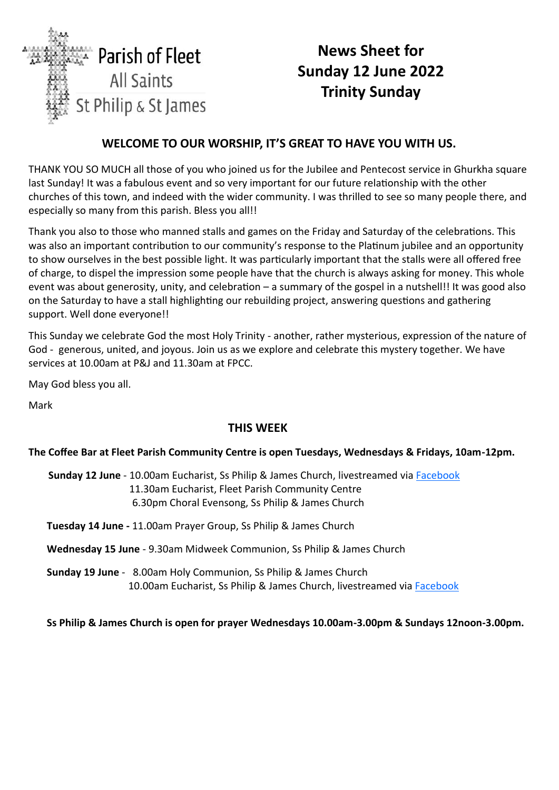

# **News Sheet for Sunday 12 June 2022 Trinity Sunday**

## **WELCOME TO OUR WORSHIP, IT'S GREAT TO HAVE YOU WITH US.**

THANK YOU SO MUCH all those of you who joined us for the Jubilee and Pentecost service in Ghurkha square last Sunday! It was a fabulous event and so very important for our future relationship with the other churches of this town, and indeed with the wider community. I was thrilled to see so many people there, and especially so many from this parish. Bless you all!!

Thank you also to those who manned stalls and games on the Friday and Saturday of the celebrations. This was also an important contribution to our community's response to the Platinum jubilee and an opportunity to show ourselves in the best possible light. It was particularly important that the stalls were all offered free of charge, to dispel the impression some people have that the church is always asking for money. This whole event was about generosity, unity, and celebration – a summary of the gospel in a nutshell!! It was good also on the Saturday to have a stall highlighting our rebuilding project, answering questions and gathering support. Well done everyone!!

This Sunday we celebrate God the most Holy Trinity - another, rather mysterious, expression of the nature of God - generous, united, and joyous. Join us as we explore and celebrate this mystery together. We have services at 10.00am at P&J and 11.30am at FPCC.

May God bless you all.

Mark

## **THIS WEE[K](http://www.facebook.com/parishoffleet)**

#### **The Coffee Bar at Fleet Parish Community Centre is open Tuesdays, Wednesdays & Fridays, 10am-12pm.**

**Sunday 12 June** - 10.00am Eucharist, Ss Philip & James Church, livestreamed via [Facebook](http://www.facebook.com/parishoffleet) 11.30am Eucharist, Fleet Parish Community Centre 6.30pm Choral Evensong, Ss Philip & James Church

**Tuesday 14 June -** 11.00am Prayer Group, Ss Philip & James Church

**Wednesday 15 June** - 9.30am Midweek Communion, Ss Philip & James Church

**Sunday 19 June** -8.00am Holy Communion, Ss Philip & James Church 10.00am Eucharist, Ss Philip & James Church, livestreamed via [Facebook](http://www.facebook.com/parishoffleet)

**Ss Philip & James Church is open for prayer Wednesdays 10.00am-3.00pm & Sundays 12noon-3.00pm.**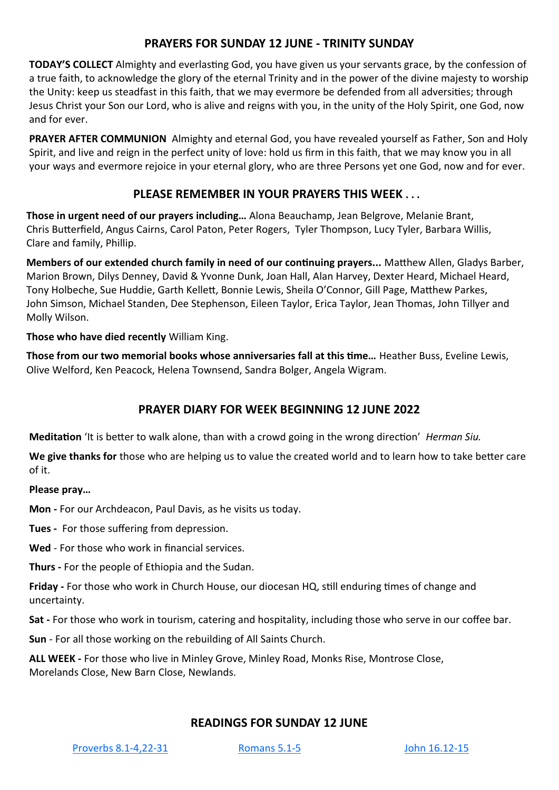## **PRAYERS FOR SUNDAY 12 JUNE - TRINITY SUNDAY**

**TODAY'S COLLECT** Almighty and everlasting God, you have given us your servants grace, by the confession of a true faith, to acknowledge the glory of the eternal Trinity and in the power of the divine majesty to worship the Unity: keep us steadfast in this faith, that we may evermore be defended from all adversities; through Jesus Christ your Son our Lord, who is alive and reigns with you, in the unity of the Holy Spirit, one God, now and for ever.

**PRAYER AFTER COMMUNION** Almighty and eternal God, you have revealed yourself as Father, Son and Holy Spirit, and live and reign in the perfect unity of love: hold us firm in this faith, that we may know you in all your ways and evermore rejoice in your eternal glory, who are three Persons yet one God, now and for ever.

## **PLEASE REMEMBER IN YOUR PRAYERS THIS WEEK . . .**

**Those in urgent need of our prayers including…** Alona Beauchamp, Jean Belgrove, Melanie Brant, Chris Butterfield, Angus Cairns, Carol Paton, Peter Rogers, Tyler Thompson, Lucy Tyler, Barbara Willis, Clare and family, Phillip.

**Members of our extended church family in need of our continuing prayers...** Matthew Allen, Gladys Barber, Marion Brown, Dilys Denney, David & Yvonne Dunk, Joan Hall, Alan Harvey, Dexter Heard, Michael Heard, Tony Holbeche, Sue Huddie, Garth Kellett, Bonnie Lewis, Sheila O'Connor, Gill Page, Matthew Parkes, John Simson, Michael Standen, Dee Stephenson, Eileen Taylor, Erica Taylor, Jean Thomas, John Tillyer and Molly Wilson.

#### **Those who have died recently** William King.

**Those from our two memorial books whose anniversaries fall at this time…** Heather Buss, Eveline Lewis, Olive Welford, Ken Peacock, Helena Townsend, Sandra Bolger, Angela Wigram.

## **PRAYER DIARY FOR WEEK BEGINNING 12 JUNE 2022**

**Meditation** 'It is better to walk alone, than with a crowd going in the wrong direction' *Herman Siu.*

**We give thanks for** those who are helping us to value the created world and to learn how to take better care of it.

**Please pray…**

**Mon -** For our Archdeacon, Paul Davis, as he visits us today.

**Tues -** For those suffering from depression.

**Wed** - For those who work in financial services.

**Thurs -** For the people of Ethiopia and the Sudan.

**Friday -** For those who work in Church House, our diocesan HQ, still enduring times of change and uncertainty.

**Sat -** For those who work in tourism, catering and hospitality, including those who serve in our coffee bar.

**Sun** - For all those working on the rebuilding of All Saints Church.

**ALL WEEK -** For those who live in Minley Grove, Minley Road, Monks Rise, Montrose Close, Morelands Close, New Barn Close, Newlands.

## **READINGS FOR SUNDAY 12 JUNE**